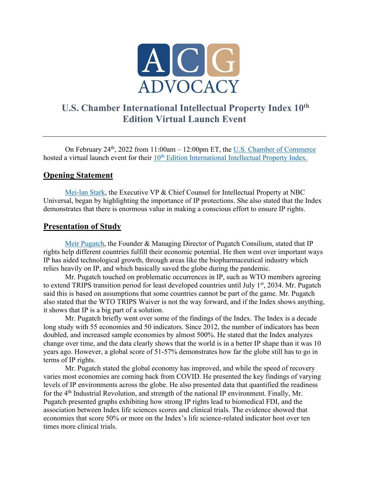

## **U.S. Chamber International Intellectual Property Index 10th Edition Virtual Launch Event**

On February 24th, 2022 from 11:00am – 12:00pm ET, the U.S. Chamber of Commerce hosted a virtual launch event for their 10<sup>th</sup> Edition International Intellectual Property Index.

#### **Opening Statement**

Mei-lan Stark, the Executive VP & Chief Counsel for Intellectual Property at NBC Universal, began by highlighting the importance of IP protections. She also stated that the Index demonstrates that there is enormous value in making a conscious effort to ensure IP rights.

#### **Presentation of Study**

Meir Pugatch, the Founder & Managing Director of Pugatch Consilium, stated that IP rights help different countries fulfill their economic potential. He then went over important ways IP has aided technological growth, through areas like the biopharmaceutical industry which relies heavily on IP, and which basically saved the globe during the pandemic.

Mr. Pugatch touched on problematic occurrences in IP, such as WTO members agreeing to extend TRIPS transition period for least developed countries until July 1<sup>st</sup>, 2034. Mr. Pugatch said this is based on assumptions that some countries cannot be part of the game. Mr. Pugatch also stated that the WTO TRIPS Waiver is not the way forward, and if the Index shows anything, it shows that IP is a big part of a solution.

Mr. Pugatch briefly went over some of the findings of the Index. The Index is a decade long study with 55 economies and 50 indicators. Since 2012, the number of indicators has been doubled, and increased sample economies by almost 500%. He stated that the Index analyzes change over time, and the data clearly shows that the world is in a better IP shape than it was 10 years ago. However, a global score of 51-57% demonstrates how far the globe still has to go in terms of IP rights.

Mr. Pugatch stated the global economy has improved, and while the speed of recovery varies most economies are coming back from COVID. He presented the key findings of varying levels of IP environments across the globe. He also presented data that quantified the readiness for the 4th Industrial Revolution, and strength of the national IP environment. Finally, Mr. Pugatch presented graphs exhibiting how strong IP rights lead to biomedical FDI, and the association between Index life sciences scores and clinical trials. The evidence showed that economies that score 50% or more on the Index's life science-related indicator host over ten times more clinical trials.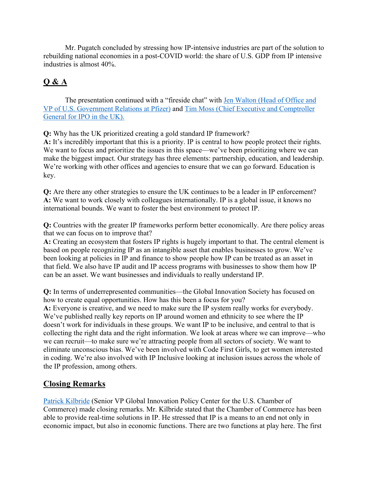Mr. Pugatch concluded by stressing how IP-intensive industries are part of the solution to rebuilding national economies in a post-COVID world: the share of U.S. GDP from IP intensive industries is almost 40%.

# **Q & A**

The presentation continued with a "fireside chat" with Jen Walton (Head of Office and VP of U.S. Government Relations at Pfizer) and Tim Moss (Chief Executive and Comptroller General for IPO in the UK).

**Q:** Why has the UK prioritized creating a gold standard IP framework?

**A:** It's incredibly important that this is a priority. IP is central to how people protect their rights. We want to focus and prioritize the issues in this space—we've been prioritizing where we can make the biggest impact. Our strategy has three elements: partnership, education, and leadership. We're working with other offices and agencies to ensure that we can go forward. Education is key.

**Q:** Are there any other strategies to ensure the UK continues to be a leader in IP enforcement? **A:** We want to work closely with colleagues internationally. IP is a global issue, it knows no international bounds. We want to foster the best environment to protect IP.

**Q:** Countries with the greater IP frameworks perform better economically. Are there policy areas that we can focus on to improve that?

**A:** Creating an ecosystem that fosters IP rights is hugely important to that. The central element is based on people recognizing IP as an intangible asset that enables businesses to grow. We've been looking at policies in IP and finance to show people how IP can be treated as an asset in that field. We also have IP audit and IP access programs with businesses to show them how IP can be an asset. We want businesses and individuals to really understand IP.

**Q:** In terms of underrepresented communities—the Global Innovation Society has focused on how to create equal opportunities. How has this been a focus for you?

**A:** Everyone is creative, and we need to make sure the IP system really works for everybody. We've published really key reports on IP around women and ethnicity to see where the IP doesn't work for individuals in these groups. We want IP to be inclusive, and central to that is collecting the right data and the right information. We look at areas where we can improve—who we can recruit—to make sure we're attracting people from all sectors of society. We want to eliminate unconscious bias. We've been involved with Code First Girls, to get women interested in coding. We're also involved with IP Inclusive looking at inclusion issues across the whole of the IP profession, among others.

### **Closing Remarks**

Patrick Kilbride (Senior VP Global Innovation Policy Center for the U.S. Chamber of Commerce) made closing remarks. Mr. Kilbride stated that the Chamber of Commerce has been able to provide real-time solutions in IP. He stressed that IP is a means to an end not only in economic impact, but also in economic functions. There are two functions at play here. The first